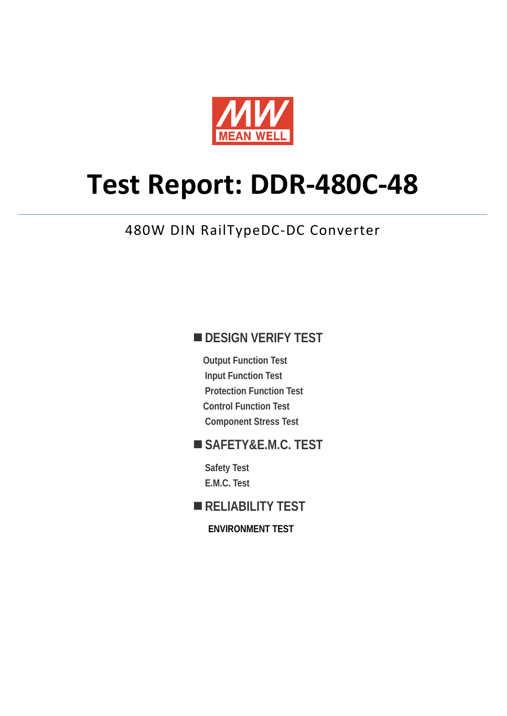

# **Test Report: DDR-480C-48**

# 480W DIN RailTypeDC-DC Converter

### **DESIGN VERIFY TEST**

**Output Function Test Input Function Test Protection Function Test Control Function Test Component Stress Test** 

### **SAFETY&E.M.C. TEST**

**Safety Test E.M.C. Test** 

#### **RELIABILITY TEST**

**ENVIRONMENT TEST**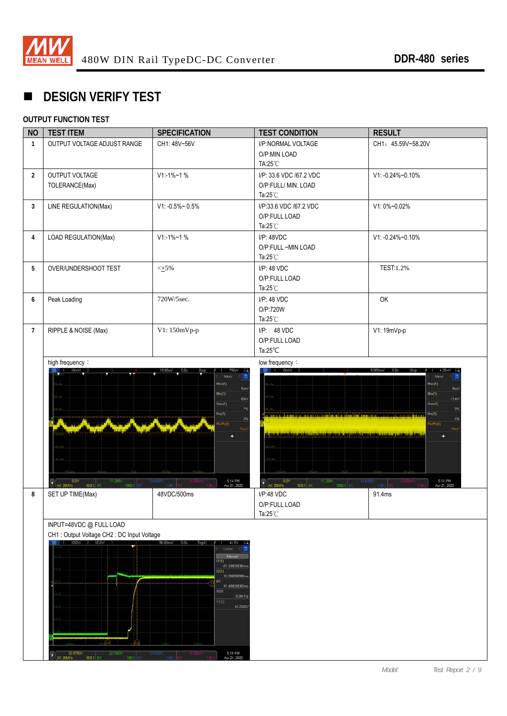

# **DESIGN VERIFY TEST**

#### **OUTPUT FUNCTION TEST**

| <b>NO</b>      | <b>TEST ITEM</b>                                                                                                                                         | <b>SPECIFICATION</b>                                                                                                                                                                                                          | <b>TEST CONDITION</b>                                                                                                                                                                                                                                            | <b>RESULT</b>                                                                                                                 |
|----------------|----------------------------------------------------------------------------------------------------------------------------------------------------------|-------------------------------------------------------------------------------------------------------------------------------------------------------------------------------------------------------------------------------|------------------------------------------------------------------------------------------------------------------------------------------------------------------------------------------------------------------------------------------------------------------|-------------------------------------------------------------------------------------------------------------------------------|
| $\mathbf{1}$   | OUTPUT VOLTAGE ADJUST RANGE                                                                                                                              | CH1: 48V~56V                                                                                                                                                                                                                  | I/P:NORMAL VOLTAGE<br>O/P:MIN LOAD<br>TA:25 °C                                                                                                                                                                                                                   | CH1: 45.59V~58.20V                                                                                                            |
| $\overline{2}$ | OUTPUT VOLTAGE<br>TOLERANCE(Max)                                                                                                                         | $V1 - 1% - 1%$                                                                                                                                                                                                                | I/P: 33.6 VDC /67.2 VDC<br>O/P:FULL/ MIN. LOAD<br>Ta: $25^{\circ}$ C                                                                                                                                                                                             | V1: -0.24%~0.10%                                                                                                              |
| $\mathbf{3}$   | LINE REGULATION(Max)                                                                                                                                     | $V1: -0.5\% \sim 0.5\%$                                                                                                                                                                                                       | I/P:33.6 VDC /67.2 VDC<br>O/P:FULL LOAD<br>Ta: $25^{\circ}$ C                                                                                                                                                                                                    | V1: 0%~0.02%                                                                                                                  |
| $\overline{4}$ | LOAD REGULATION(Max)                                                                                                                                     | $V1: -1\% - 1\%$                                                                                                                                                                                                              | $I/P$ : 48VDC<br>O/P:FULL~MIN LOAD<br>Ta: $25^{\circ}$ C                                                                                                                                                                                                         | V1: -0.24%~0.10%                                                                                                              |
| 5              | OVER/UNDERSHOOT TEST                                                                                                                                     | $\leq$ +5%                                                                                                                                                                                                                    | I/P: 48 VDC<br>O/P:FULL LOAD<br>Ta: $25^{\circ}$ C                                                                                                                                                                                                               | TEST:1.2%                                                                                                                     |
| 6              | Peak Loading                                                                                                                                             | 720W/5sec.                                                                                                                                                                                                                    | I/P: 48 VDC<br>O/P:720W<br>Ta: $25^{\circ}$ C                                                                                                                                                                                                                    | OK                                                                                                                            |
| $7^{\circ}$    | RIPPLE & NOISE (Max)                                                                                                                                     | V1: 150mVp-p                                                                                                                                                                                                                  | $I/P$ : 48 VDC<br>O/P:FULL LOAD<br>Ta: $25^{\circ}$ C                                                                                                                                                                                                            | V1: 19mVp-p                                                                                                                   |
|                | 0.0V<br>11.250V                                                                                                                                          | $Mac(1)$ :<br>5mV<br>$Min(1)$ :<br>8mV<br>Over(1):<br>7%<br>$Pre(1)$ :<br>0%<br>$Pk$ - $Pk(1)$<br>5:14 PM<br>Apr 21, 2020<br>13,4350                                                                                          | <u>ta mangkat bahan dan sama mangkat bahan dan pada bahan dan sama dalam salah salah salah pada bahan salah salah</u><br><u>d, espadroskikom partiam motorrikondone ki majanskirkunu poko motorrik proportoj dana i k</u><br>AC 20MHz<br>11.250V<br>13,4350<br>n | Max(1):<br><b>8mV</b><br>Min(1)<br>11mV<br>Oven(1)<br>0%<br>Pre(1)<br>6%<br>$Pk$ - $Pk(1)$<br>19m)<br>5:14 PM<br>Apr 21, 2020 |
| 8              | 1000:1<br>10.0:1 DC<br>SET UP TIME(Max)                                                                                                                  | 48VDC/500ms                                                                                                                                                                                                                   | 1000-1<br>10.0.1<br>I/P:48 VDC<br>O/P:FULL LOAD<br>Ta:25°C                                                                                                                                                                                                       | 91.4ms                                                                                                                        |
|                | INPUT=48VDC @ FULL LOAD<br>CH1: Output Voltage CH2: DC Input Voltage<br>1 10.0V/ 2 10.0V/<br>33.6750V<br>32.7500V<br>Ð<br>100.1<br>DC 20MHz<br>10.0.1 DC | 50.00ms/ 0.0s<br>Trig'd?<br>41.5V<br>Curson<br>價<br>Manual<br>X1(1)<br>-81.20000000ms<br>X2(1)<br>10.20000000ms<br>ΔX<br>91.400000000m<br>1/AX<br>10.941Hz<br>Y1(1)<br>43.2500V<br>5:19 PM<br>12,4360<br>1001<br>Apr 21, 2020 |                                                                                                                                                                                                                                                                  |                                                                                                                               |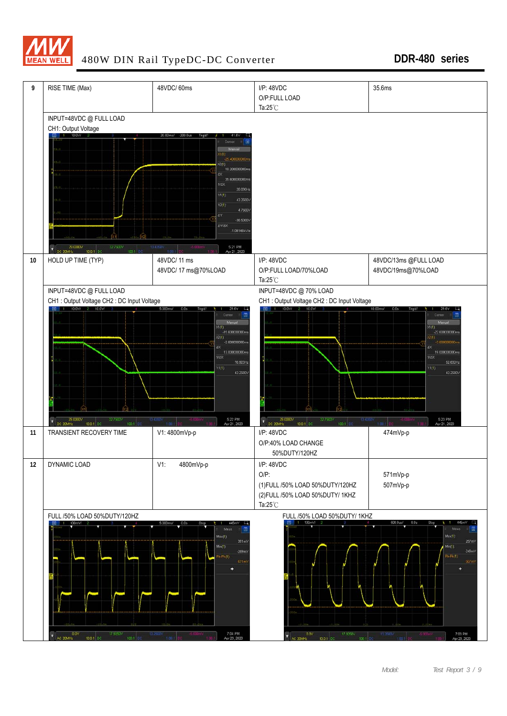

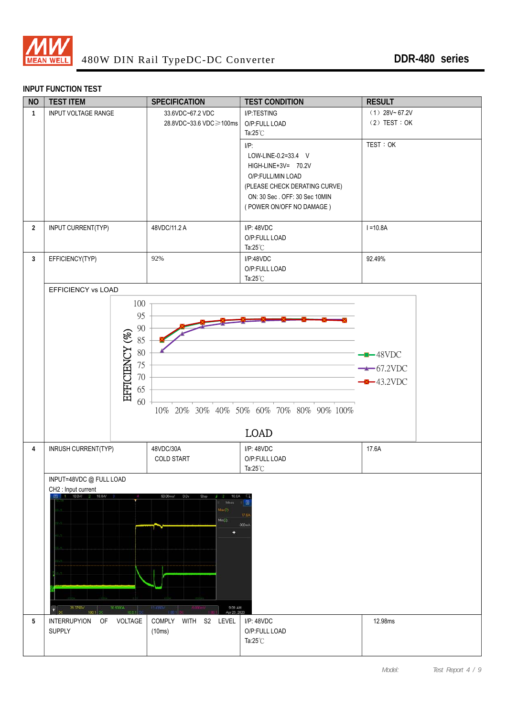

#### **INPUT FUNCTION TEST**

| <b>NO</b>      | <b>TEST ITEM</b>                                                                                                       | <b>SPECIFICATION</b>                                                                                            | <b>TEST CONDITION</b>                                                                                                                                                    | <b>RESULT</b>                                     |
|----------------|------------------------------------------------------------------------------------------------------------------------|-----------------------------------------------------------------------------------------------------------------|--------------------------------------------------------------------------------------------------------------------------------------------------------------------------|---------------------------------------------------|
| $\mathbf{1}$   | INPUT VOLTAGE RANGE                                                                                                    | 33.6VDC~67.2 VDC<br>28.8VDC~33.6 VDC ≥100ms                                                                     | I/P:TESTING<br>O/P:FULL LOAD<br>Ta: $25^{\circ}$ C                                                                                                                       | $(1)$ 28V~67.2V<br>$(2)$ TEST : OK                |
|                |                                                                                                                        |                                                                                                                 | $I/P$ :<br>LOW-LINE-0.2=33.4 V<br>HIGH-LINE+3V= 70.2V<br>O/P:FULL/MIN LOAD<br>(PLEASE CHECK DERATING CURVE)<br>ON: 30 Sec. OFF: 30 Sec 10MIN<br>(POWER ON/OFF NO DAMAGE) | TEST: OK                                          |
| $\overline{2}$ | INPUT CURRENT(TYP)                                                                                                     | 48VDC/11.2 A                                                                                                    | I/P: 48VDC<br>O/P:FULL LOAD<br>Ta: $25^{\circ}$ C                                                                                                                        | $I = 10.8A$                                       |
| $\mathbf{3}$   | EFFICIENCY(TYP)                                                                                                        | 92%                                                                                                             | I/P:48VDC<br>O/P:FULL LOAD<br>Ta: $25^{\circ}$ C                                                                                                                         | 92.49%                                            |
|                | EFFICIENCY vs LOAD                                                                                                     |                                                                                                                 |                                                                                                                                                                          |                                                   |
|                | 100<br>95<br>$90\,$<br>EFFICIENCY (%)<br>85<br>$80\,$<br>75<br>$70\,$<br>65<br>60                                      |                                                                                                                 | 10% 20% 30% 40% 50% 60% 70% 80% 90% 100%<br><b>LOAD</b>                                                                                                                  | $-$ -48VDC<br>$\rightarrow$ 67.2VDC<br>$-43.2VDC$ |
| $\overline{4}$ | INRUSH CURRENT(TYP)                                                                                                    | 48VDC/30A<br><b>COLD START</b>                                                                                  | $I/P$ : 48VDC<br>O/P:FULL LOAD<br>Ta: $25^{\circ}$ C                                                                                                                     | 17.6A                                             |
|                | INPUT=48VDC @ FULL LOAD<br>CH2 : Input current<br>1 10.0V/ 2 10.0A/<br>30,600BA<br>29.3750V<br>n<br>10.0:1<br>100:1 DC | 50.00ms/<br>0.0s<br>Stop<br>10.0A<br>Méas<br>$\text{Max}(2)$<br>Min(2)<br>÷<br>11430<br>9:09 AM<br>Apr 23, 2020 | E<br>17.64<br>-900mA                                                                                                                                                     |                                                   |
| 5              | <b>INTERRUPYION</b><br>VOLTAGE<br>OF<br><b>SUPPLY</b>                                                                  | COMPLY WITH<br>S2 LEVEL<br>(10ms)                                                                               | I/P: 48VDC<br>O/P:FULL LOAD<br>Ta: $25^{\circ}$ C                                                                                                                        | 12.98ms                                           |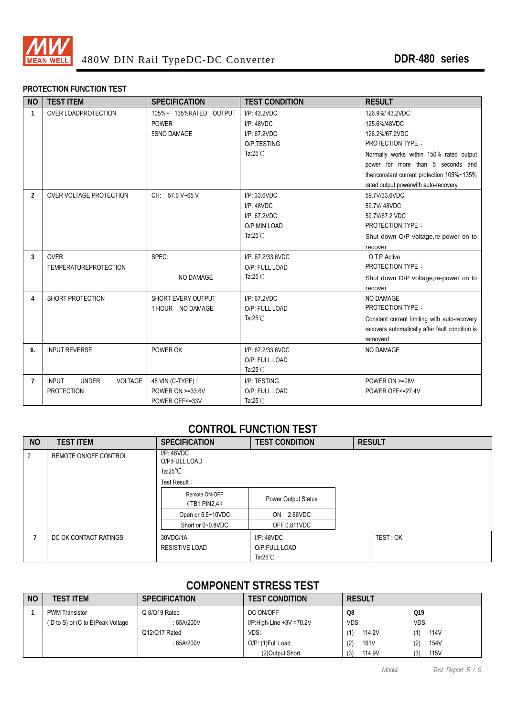

#### **PROTECTION FUNCTION TEST**

| <b>NO</b>      | <b>TEST ITEM</b>                               | <b>SPECIFICATION</b>   | <b>TEST CONDITION</b> | <b>RESULT</b>                                   |
|----------------|------------------------------------------------|------------------------|-----------------------|-------------------------------------------------|
| $\mathbf{1}$   | <b>OVER LOADPROTECTION</b>                     | 105%~ 135%RATED OUTPUT | I/P: 43.2VDC          | 126.9%/43.2VDC                                  |
|                |                                                | <b>POWER</b>           | I/P: 48VDC            | 125.6%/48VDC                                    |
|                |                                                | <b>5SNO DAMAGE</b>     | I/P: 67.2VDC          | 126.2%/67.2VDC                                  |
|                |                                                |                        | O/P:TESTING           | <b>PROTECTION TYPE:</b>                         |
|                |                                                |                        | Ta: $25^{\circ}$ C    | Normally works within 150% rated output         |
|                |                                                |                        |                       | power for more than 5 seconds and               |
|                |                                                |                        |                       | thenconstant current protection 105%~135%       |
|                |                                                |                        |                       | rated output powerwith auto-recovery.           |
| $\overline{2}$ | <b>OVER VOLTAGE PROTECTION</b>                 | CH: 57.6 V~65 V        | I/P: 33.6VDC          | 59.7V/33.6VDC                                   |
|                |                                                |                        | I/P: 48VDC            | 59.7V/48VDC                                     |
|                |                                                |                        | I/P: 67.2VDC          | 59.7V/67.2 VDC                                  |
|                |                                                |                        | O/P:MIN LOAD          | <b>PROTECTION TYPE:</b>                         |
|                |                                                |                        | Ta: $25^{\circ}$ C    | Shut down O/P voltage, re-power on to           |
|                |                                                |                        |                       | recover                                         |
| $\overline{3}$ | <b>OVER</b>                                    | SPEC:                  | I/P: 67.2/33.6VDC     | O.T.P. Active                                   |
|                | <b>TEMPERATUREPROTECTION</b>                   |                        | O/P: FULL LOAD        | <b>PROTECTION TYPE:</b>                         |
|                |                                                | NO DAMAGE              | Ta: $25^{\circ}$ C    | Shut down O/P voltage, re-power on to           |
|                |                                                |                        |                       | recover                                         |
| 4              | SHORT PROTECTION                               | SHORT EVERY OUTPUT     | I/P: 67.2VDC          | NO DAMAGE                                       |
|                |                                                | 1 HOUR NO DAMAGE       | O/P: FULL LOAD        | <b>PROTECTION TYPE:</b>                         |
|                |                                                |                        | Ta: $25^{\circ}$ C    | Constant current limiting with auto-recovery    |
|                |                                                |                        |                       | recovers automatically after fault condition is |
|                |                                                |                        |                       | removerd                                        |
| 6.             | <b>INPUT REVERSE</b>                           | POWER OK               | I/P: 67.2/33.6VDC     | NO DAMAGE                                       |
|                |                                                |                        | O/P: FULL LOAD        |                                                 |
|                |                                                |                        | Ta: $25^{\circ}$ C    |                                                 |
| $\overline{7}$ | <b>INPUT</b><br><b>VOLTAGE</b><br><b>UNDER</b> | 48 VIN (C-TYPE) :      | I/P: TESTING          | POWER ON >=28V                                  |
|                | <b>PROTECTION</b>                              | POWER ON >=33.6V       | O/P: FULL LOAD        | POWER OFF<=27.4V                                |
|                |                                                | POWER OFF<=33V         | Ta: $25^{\circ}$ C    |                                                 |

#### **CONTROL FUNCTION TEST**

| <b>NO</b>      | <b>TEST ITEM</b>      | <b>SPECIFICATION</b>           | <b>TEST CONDITION</b> | <b>RESULT</b> |  |  |  |  |
|----------------|-----------------------|--------------------------------|-----------------------|---------------|--|--|--|--|
| $\overline{2}$ | REMOTE ON/OFF CONTROL | I/P: 48VDC<br>O/P:FULL LOAD    |                       |               |  |  |  |  |
|                |                       | Ta: $25^{\circ}$ C             |                       |               |  |  |  |  |
|                |                       | Test Result:                   |                       |               |  |  |  |  |
|                |                       | Remote ON-OFF<br>(TB1 PIN2, 4) | Power Output Status   |               |  |  |  |  |
|                |                       | Open or 5.5~10VDC              | ON 2.66VDC            |               |  |  |  |  |
|                |                       | Short or 0~0.8VDC              | OFF 0.811VDC          |               |  |  |  |  |
|                | DC OK CONTACT RATINGS | 30VDC/1A                       | IP:48VDC              | TEST: OK      |  |  |  |  |
|                |                       | <b>RESISTIVE LOAD</b>          | O/P:FULL LOAD         |               |  |  |  |  |
|                |                       |                                | Ta: $25^{\circ}$ C    |               |  |  |  |  |

#### **COMPONENT STRESS TEST**

| <b>NO</b> | TEST ITEM                       | <b>SPECIFICATION</b> | <b>TEST CONDITION</b>       | <b>RESULT</b> |             |
|-----------|---------------------------------|----------------------|-----------------------------|---------------|-------------|
|           | <b>PWM Transistor</b>           | Q 8/Q19 Rated        | DC ON/OFF                   | Q8            | Q19         |
|           | D to S) or (C to E)Peak Voltage | : 65A/200V           | $I/P$ :High-Line +3V =70.2V | VDS:          | VDS:        |
|           |                                 | Q12/Q17 Rated        | VDS:                        | 114.2V        | 114V        |
|           |                                 | : 65A/200V           | O/P: (1)Full Load           | 161V<br>(2)   | 154V<br>(2) |
|           |                                 |                      | (2) Output Short            | 114.9V<br>(3) | 115V<br>(3) |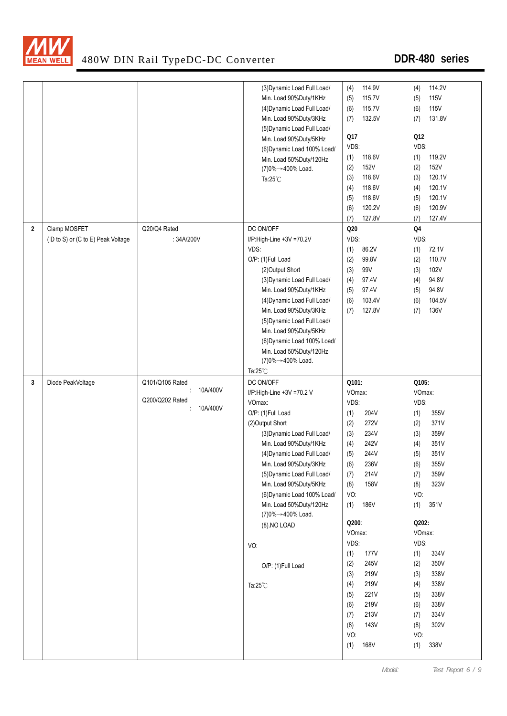

|                |                                   |                 | (3) Dynamic Load Full Load/ | 114.9V<br>(4)   | 114.2V<br>(4)      |
|----------------|-----------------------------------|-----------------|-----------------------------|-----------------|--------------------|
|                |                                   |                 | Min. Load 90%Duty/1KHz      | 115.7V<br>(5)   | <b>115V</b><br>(5) |
|                |                                   |                 | (4) Dynamic Load Full Load/ | 115.7V<br>(6)   | <b>115V</b><br>(6) |
|                |                                   |                 | Min. Load 90%Duty/3KHz      | 132.5V<br>(7)   | 131.8V<br>(7)      |
|                |                                   |                 | (5) Dynamic Load Full Load/ |                 |                    |
|                |                                   |                 | Min. Load 90%Duty/5KHz      | Q17             | Q12                |
|                |                                   |                 | (6) Dynamic Load 100% Load/ | VDS:            | VDS:               |
|                |                                   |                 | Min. Load 50%Duty/120Hz     | 118.6V<br>(1)   | 119.2V<br>(1)      |
|                |                                   |                 | (7)0%→400% Load.            | 152V<br>(2)     | <b>152V</b><br>(2) |
|                |                                   |                 | Ta: $25^{\circ}$ C          | 118.6V<br>(3)   | 120.1V<br>(3)      |
|                |                                   |                 |                             | 118.6V<br>(4)   | 120.1V<br>(4)      |
|                |                                   |                 |                             | 118.6V<br>(5)   | 120.1V<br>(5)      |
|                |                                   |                 |                             | 120.2V<br>(6)   | 120.9V<br>(6)      |
|                |                                   |                 |                             | 127.8V<br>(7)   | 127.4V<br>(7)      |
|                |                                   |                 |                             |                 |                    |
| $\overline{2}$ | Clamp MOSFET                      | Q20/Q4 Rated    | DC ON/OFF                   | Q <sub>20</sub> | Q4                 |
|                | (D to S) or (C to E) Peak Voltage | : 34A/200V      | I/P:High-Line +3V =70.2V    | VDS:            | VDS:               |
|                |                                   |                 | VDS:                        | (1)<br>86.2V    | 72.1V<br>(1)       |
|                |                                   |                 | O/P: (1)Full Load           | 99.8V<br>(2)    | 110.7V<br>(2)      |
|                |                                   |                 | (2) Output Short            | 99V<br>(3)      | 102V<br>(3)        |
|                |                                   |                 | (3) Dynamic Load Full Load/ | 97.4V<br>(4)    | 94.8V<br>(4)       |
|                |                                   |                 | Min. Load 90%Duty/1KHz      | 97.4V<br>(5)    | 94.8V<br>(5)       |
|                |                                   |                 | (4) Dynamic Load Full Load/ | 103.4V<br>(6)   | 104.5V<br>(6)      |
|                |                                   |                 | Min. Load 90%Duty/3KHz      | 127.8V<br>(7)   | 136V<br>(7)        |
|                |                                   |                 | (5) Dynamic Load Full Load/ |                 |                    |
|                |                                   |                 | Min. Load 90%Duty/5KHz      |                 |                    |
|                |                                   |                 | (6) Dynamic Load 100% Load/ |                 |                    |
|                |                                   |                 | Min. Load 50%Duty/120Hz     |                 |                    |
|                |                                   |                 | (7)0%→400% Load.            |                 |                    |
|                |                                   |                 |                             |                 |                    |
|                |                                   |                 | Ta: $25^{\circ}$ C          |                 |                    |
| 3              | Diode PeakVoltage                 | Q101/Q105 Rated | DC ON/OFF                   | Q101:           | Q105:              |
|                |                                   | 10A/400V        | I/P:High-Line +3V =70.2 V   | VOmax:          | VOmax:             |
|                |                                   | Q200/Q202 Rated | VOmax:                      | VDS:            | VDS:               |
|                |                                   | 10A/400V        | O/P: (1)Full Load           | 204V<br>(1)     | 355V<br>(1)        |
|                |                                   |                 | (2) Output Short            | (2)<br>272V     | 371V<br>(2)        |
|                |                                   |                 | (3) Dynamic Load Full Load/ | 234V<br>(3)     | 359V<br>(3)        |
|                |                                   |                 | Min. Load 90%Duty/1KHz      | 242V<br>(4)     | 351V<br>(4)        |
|                |                                   |                 | (4) Dynamic Load Full Load/ | (5)<br>244V     | 351V<br>(5)        |
|                |                                   |                 | Min. Load 90%Duty/3KHz      | (6)<br>236V     | (6)<br>355V        |
|                |                                   |                 | (5) Dynamic Load Full Load/ | 214V<br>(7)     | 359V<br>(7)        |
|                |                                   |                 | Min. Load 90%Duty/5KHz      | 158V<br>(8)     | 323V<br>(8)        |
|                |                                   |                 | (6) Dynamic Load 100% Load/ | VO:             | VO:                |
|                |                                   |                 | Min. Load 50%Duty/120Hz     | 186V<br>(1)     | (1)<br>351V        |
|                |                                   |                 | (7)0%→400% Load.            |                 |                    |
|                |                                   |                 | (8).NO LOAD                 | Q200:           | Q202:              |
|                |                                   |                 |                             | VOmax:          | VOmax:             |
|                |                                   |                 | VO.                         | VDS:            | VDS:               |
|                |                                   |                 |                             | 177V<br>(1)     | (1)<br>334V        |
|                |                                   |                 | O/P: (1)Full Load           | 245V<br>(2)     | 350V<br>(2)        |
|                |                                   |                 |                             | 219V<br>(3)     | 338V<br>(3)        |
|                |                                   |                 | Ta: $25^{\circ}$ C          | 219V<br>(4)     | 338V<br>(4)        |
|                |                                   |                 |                             | 221V<br>(5)     | 338V<br>(5)        |
|                |                                   |                 |                             | 219V<br>(6)     | 338V<br>(6)        |
|                |                                   |                 |                             | 213V<br>(7)     | 334V<br>(7)        |
|                |                                   |                 |                             | 143V<br>(8)     | 302V<br>(8)        |
|                |                                   |                 |                             | VO:             | VO:                |
|                |                                   |                 |                             | 168V<br>(1)     | (1)<br>338V        |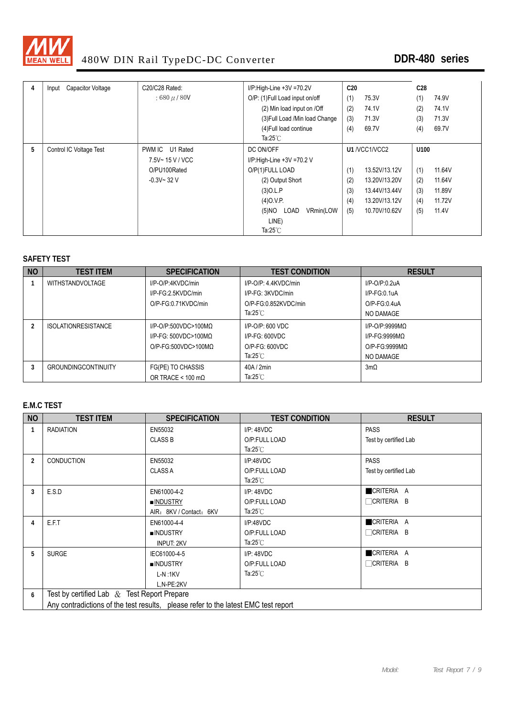

| 4 | Capacitor Voltage<br>Input | C20/C28 Rated:  | $I/P$ :High-Line +3V =70.2V     | C20 |               | C <sub>28</sub> |        |
|---|----------------------------|-----------------|---------------------------------|-----|---------------|-----------------|--------|
|   |                            | $:680 \mu/80V$  | O/P: (1) Full Load input on/off | (1) | 75.3V         | (1)             | 74.9V  |
|   |                            |                 | (2) Min load input on /Off      | (2) | 74.1V         | (2)             | 74.1V  |
|   |                            |                 | (3) Full Load / Min load Change | (3) | 71.3V         | (3)             | 71.3V  |
|   |                            |                 | (4) Full load continue          | (4) | 69.7V         | (4)             | 69.7V  |
|   |                            |                 | Ta:25 $°C$                      |     |               |                 |        |
| 5 | Control IC Voltage Test    | PWM IC U1 Rated | DC ON/OFF                       |     | U1 /VCC1/VCC2 | U100            |        |
|   |                            | 7.5V~15 V / VCC | $I/P$ :High-Line +3V =70.2 V    |     |               |                 |        |
|   |                            | O/PU100Rated    | O/P(1)FULL LOAD                 | (1) | 13.52V/13.12V | (1)             | 11.64V |
|   |                            | $-0.3V - 32V$   | (2) Output Short                | (2) | 13.20V/13.20V | (2)             | 11.64V |
|   |                            |                 | $(3)$ O.L.P                     | (3) | 13.44V/13.44V | (3)             | 11.89V |
|   |                            |                 | $(4)$ O.V.P.                    | (4) | 13.20V/13.12V | (4)             | 11.72V |
|   |                            |                 | (5)NO LOAD<br>VRmin(LOW         | (5) | 10.70V/10.62V | (5)             | 11.4V  |
|   |                            |                 | LINE)                           |     |               |                 |        |
|   |                            |                 | Ta: $25^{\circ}$ C              |     |               |                 |        |

#### **SAFETY TEST**

| <b>NO</b> | <b>TEST ITEM</b>           | <b>SPECIFICATION</b>      | <b>TEST CONDITION</b>      | <b>RESULT</b>     |
|-----------|----------------------------|---------------------------|----------------------------|-------------------|
|           | <b>WITHSTANDVOLTAGE</b>    | I/P-O/P:4KVDC/min         | $I/P$ -O/P: 4 4KVDC/min    | $I/P-O/P:0.2uA$   |
|           |                            | I/P-FG:2.5KVDC/min        | I/P-FG: 3KVDC/min          | $I/P-FG:0.1uA$    |
|           |                            | O/P-FG:0.71KVDC/min       | O/P-FG:0.852KVDC/min       | $O/P$ -FG:0.4uA   |
|           |                            |                           | Ta:25 $°C$                 | NO DAMAGE         |
|           | <b>ISOLATIONRESISTANCE</b> | $I/P$ -O/P:500VDC>100MQ   | $I/P$ -O/P: 600 VDC        | $I/P$ -O/P:9999MQ |
|           |                            | $I/P-FG: 500VDC > 100MO$  | $I/P-FG: 600VDC$           | $I/P-FG:9999MO$   |
|           |                            | $O/P-FG:500VDC>100MO$     | $O/P-FG: 600VDC$           | $O/P-FG:9999MO$   |
|           |                            |                           | Ta:25 $^{\circ}\mathrm{C}$ | NO DAMAGE         |
|           | <b>GROUNDINGCONTINUITY</b> | FG(PE) TO CHASSIS         | 40A/2min                   | $3m\Omega$        |
|           |                            | OR TRACE < 100 m $\Omega$ | Ta:25 $^\circ\mathrm{C}$   |                   |

#### **E.M.C TEST**

| <b>NO</b>      | <b>TEST ITEM</b>                                                                   | <b>SPECIFICATION</b>    | <b>TEST CONDITION</b>      | <b>RESULT</b>         |
|----------------|------------------------------------------------------------------------------------|-------------------------|----------------------------|-----------------------|
|                | <b>RADIATION</b>                                                                   | EN55032                 | I/P: 48VDC                 | <b>PASS</b>           |
|                |                                                                                    | <b>CLASS B</b>          | O/P:FULL LOAD              | Test by certified Lab |
|                |                                                                                    |                         | Ta: $25^{\circ}$ C         |                       |
| $\overline{2}$ | <b>CONDUCTION</b>                                                                  | EN55032                 | I/P:48VDC                  | <b>PASS</b>           |
|                |                                                                                    | <b>CLASS A</b>          | O/P:FULL LOAD              | Test by certified Lab |
|                |                                                                                    |                         | Ta: $25^{\circ}$ C         |                       |
| 3              | E.S.D                                                                              | EN61000-4-2             | I/P: 48VDC                 | CRITERIA A            |
|                |                                                                                    | ■INDUSTRY               | O/P:FULL LOAD              | <b>FICRITERIA B</b>   |
|                |                                                                                    | AIR: 8KV / Contact: 6KV | Ta:25 $°C$                 |                       |
| 4              | E.F.T                                                                              | EN61000-4-4             | I/P:48VDC                  | CRITERIA A            |
|                |                                                                                    | <b>INDUSTRY</b>         | O/P:FULL LOAD              | CRITERIA B            |
|                |                                                                                    | <b>INPUT: 2KV</b>       | Ta:25 $°C$                 |                       |
| 5              | <b>SURGE</b>                                                                       | IEC61000-4-5            | I/P: 48VDC                 | CRITERIA A            |
|                |                                                                                    | <b>INDUSTRY</b>         | O/P:FULL LOAD              | $\Box$ Criteria b     |
|                |                                                                                    | $L-N:1KV$               | Ta:25 $^{\circ}\mathrm{C}$ |                       |
|                |                                                                                    | L.N-PE:2KV              |                            |                       |
| 6              | Test by certified Lab $\&$ Test Report Prepare                                     |                         |                            |                       |
|                | Any contradictions of the test results, please refer to the latest EMC test report |                         |                            |                       |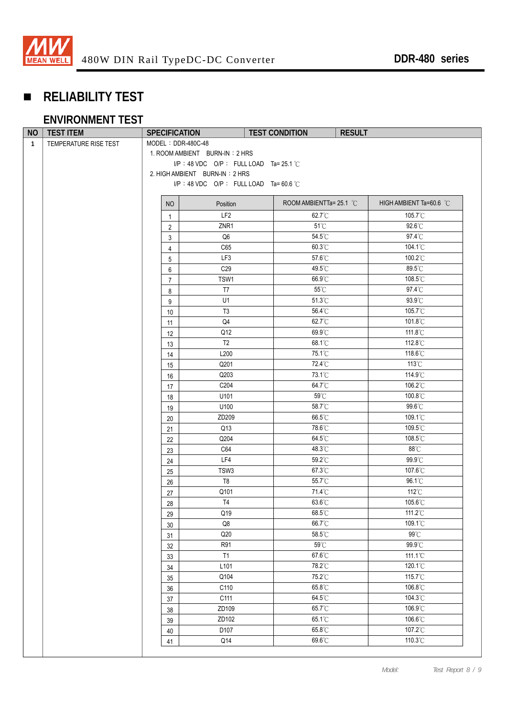

# **RELIABILITY TEST**

### **ENVIRONMENT TEST**

| $MODEL : DDR-480C-48$<br>TEMPERATURE RISE TEST<br>$\mathbf{1}$<br>1. ROOM AMBIENT BURN-IN: 2 HRS<br>I/P: 48 VDC O/P: FULL LOAD Ta= 25.1 $\degree$ C<br>2. HIGH AMBIENT BURN-IN: 2 HRS<br>I/P: 48 VDC O/P: FULL LOAD Ta=60.6 °C<br>ROOM AMBIENTTa= 25.1 °C<br>HIGH AMBIENT Ta=60.6 °C<br>NO<br>Position<br>LF <sub>2</sub><br>62.7°C<br>$105.7^{\circ}$ C<br>$\mathbf{1}$<br>$51^{\circ}$ C<br>92.6°C<br>ZNR1<br>$\overline{2}$<br>Q <sub>6</sub><br>54.5°C<br>$97.4^{\circ}$ C<br>3<br>60.3°C<br>104.1°C<br>C65<br>4<br>57.6°C<br>100.2°C<br>LF3<br>5<br>C29<br>89.5°C<br>49.5°C<br>6<br>66.9°C<br>108.5°C<br>TSW1<br>$\overline{7}$<br>$55^{\circ}$ C<br>97.4°C<br>T7<br>8<br>51.3°C<br>$93.9^{\circ}$ C<br>U1<br>9<br>56.4°C<br>105.7°C<br>T <sub>3</sub><br>10<br>62.7°C<br>101.8°C<br>Q4<br>11<br>69.9°C<br>111.8°C<br>Q12<br>12<br>68.1°C<br>112.8°C<br>T <sub>2</sub><br>13<br>75.1°C<br>118.6°C<br>L200<br>14<br>72.4°C<br>$113^{\circ}$ C<br>Q201<br>15<br>73.1°C<br>114.9°C<br>Q203<br>$16$<br>64.7°C<br>106.2°C<br>C204<br>17<br>59°C<br>100.8°C<br>U101<br>18<br>58.7°C<br>99.6°C<br>U100<br>19<br>66.5°C<br>109.1°C<br>ZD209<br>20<br>Q13<br>78.6°C<br>109.5°C<br>21<br>64.5°C<br>108.5°C<br>Q204<br>22<br>$88^{\circ}$ C<br>C64<br>48.3°C<br>23<br>59.2°C<br>99.9°C<br>LF4<br>24<br>67.3°C<br>107.6°C<br>TSW3<br>25<br>55.7°C<br>T8<br>96.1°C<br>$26\,$<br>71.4°C<br>$112^{\circ}$ C<br>Q101<br>27<br>63.6°C<br>105.6°C<br>T <sub>4</sub><br>28<br>Q19<br>68.5°C<br>111.2°C<br>29<br>66.7°C<br>109.1°C<br>$\mathsf{Q8}$<br>$30\,$<br>$99^{\circ}$ C<br>Q20<br>$58.5^{\circ}\mathrm{C}$<br>31<br>R91<br>$59^{\circ}\mathrm{C}$<br>99.9°C<br>32<br>T1<br>67.6°C<br>111.1°C<br>33<br>L <sub>101</sub><br>78.2°C<br>120.1°C<br>$34\,$<br>Q104<br>75.2°C<br>115.7°C<br>$35\,$<br>106.8°C<br>65.8°C<br>C110<br>$36\,$<br>64.5°C<br>104.3°C<br>C111<br>$37\,$<br>ZD109<br>65.7°C<br>106.9°C<br>38 | <b>NO</b> | <b>TEST ITEM</b> | <b>SPECIFICATION</b> | <b>TEST CONDITION</b> | <b>RESULT</b> |  |
|---------------------------------------------------------------------------------------------------------------------------------------------------------------------------------------------------------------------------------------------------------------------------------------------------------------------------------------------------------------------------------------------------------------------------------------------------------------------------------------------------------------------------------------------------------------------------------------------------------------------------------------------------------------------------------------------------------------------------------------------------------------------------------------------------------------------------------------------------------------------------------------------------------------------------------------------------------------------------------------------------------------------------------------------------------------------------------------------------------------------------------------------------------------------------------------------------------------------------------------------------------------------------------------------------------------------------------------------------------------------------------------------------------------------------------------------------------------------------------------------------------------------------------------------------------------------------------------------------------------------------------------------------------------------------------------------------------------------------------------------------------------------------------------------------------------------------------------------------------------------------------------------------------|-----------|------------------|----------------------|-----------------------|---------------|--|
|                                                                                                                                                                                                                                                                                                                                                                                                                                                                                                                                                                                                                                                                                                                                                                                                                                                                                                                                                                                                                                                                                                                                                                                                                                                                                                                                                                                                                                                                                                                                                                                                                                                                                                                                                                                                                                                                                                         |           |                  |                      |                       |               |  |
|                                                                                                                                                                                                                                                                                                                                                                                                                                                                                                                                                                                                                                                                                                                                                                                                                                                                                                                                                                                                                                                                                                                                                                                                                                                                                                                                                                                                                                                                                                                                                                                                                                                                                                                                                                                                                                                                                                         |           |                  |                      |                       |               |  |
|                                                                                                                                                                                                                                                                                                                                                                                                                                                                                                                                                                                                                                                                                                                                                                                                                                                                                                                                                                                                                                                                                                                                                                                                                                                                                                                                                                                                                                                                                                                                                                                                                                                                                                                                                                                                                                                                                                         |           |                  |                      |                       |               |  |
|                                                                                                                                                                                                                                                                                                                                                                                                                                                                                                                                                                                                                                                                                                                                                                                                                                                                                                                                                                                                                                                                                                                                                                                                                                                                                                                                                                                                                                                                                                                                                                                                                                                                                                                                                                                                                                                                                                         |           |                  |                      |                       |               |  |
|                                                                                                                                                                                                                                                                                                                                                                                                                                                                                                                                                                                                                                                                                                                                                                                                                                                                                                                                                                                                                                                                                                                                                                                                                                                                                                                                                                                                                                                                                                                                                                                                                                                                                                                                                                                                                                                                                                         |           |                  |                      |                       |               |  |
|                                                                                                                                                                                                                                                                                                                                                                                                                                                                                                                                                                                                                                                                                                                                                                                                                                                                                                                                                                                                                                                                                                                                                                                                                                                                                                                                                                                                                                                                                                                                                                                                                                                                                                                                                                                                                                                                                                         |           |                  |                      |                       |               |  |
|                                                                                                                                                                                                                                                                                                                                                                                                                                                                                                                                                                                                                                                                                                                                                                                                                                                                                                                                                                                                                                                                                                                                                                                                                                                                                                                                                                                                                                                                                                                                                                                                                                                                                                                                                                                                                                                                                                         |           |                  |                      |                       |               |  |
|                                                                                                                                                                                                                                                                                                                                                                                                                                                                                                                                                                                                                                                                                                                                                                                                                                                                                                                                                                                                                                                                                                                                                                                                                                                                                                                                                                                                                                                                                                                                                                                                                                                                                                                                                                                                                                                                                                         |           |                  |                      |                       |               |  |
|                                                                                                                                                                                                                                                                                                                                                                                                                                                                                                                                                                                                                                                                                                                                                                                                                                                                                                                                                                                                                                                                                                                                                                                                                                                                                                                                                                                                                                                                                                                                                                                                                                                                                                                                                                                                                                                                                                         |           |                  |                      |                       |               |  |
|                                                                                                                                                                                                                                                                                                                                                                                                                                                                                                                                                                                                                                                                                                                                                                                                                                                                                                                                                                                                                                                                                                                                                                                                                                                                                                                                                                                                                                                                                                                                                                                                                                                                                                                                                                                                                                                                                                         |           |                  |                      |                       |               |  |
|                                                                                                                                                                                                                                                                                                                                                                                                                                                                                                                                                                                                                                                                                                                                                                                                                                                                                                                                                                                                                                                                                                                                                                                                                                                                                                                                                                                                                                                                                                                                                                                                                                                                                                                                                                                                                                                                                                         |           |                  |                      |                       |               |  |
|                                                                                                                                                                                                                                                                                                                                                                                                                                                                                                                                                                                                                                                                                                                                                                                                                                                                                                                                                                                                                                                                                                                                                                                                                                                                                                                                                                                                                                                                                                                                                                                                                                                                                                                                                                                                                                                                                                         |           |                  |                      |                       |               |  |
|                                                                                                                                                                                                                                                                                                                                                                                                                                                                                                                                                                                                                                                                                                                                                                                                                                                                                                                                                                                                                                                                                                                                                                                                                                                                                                                                                                                                                                                                                                                                                                                                                                                                                                                                                                                                                                                                                                         |           |                  |                      |                       |               |  |
|                                                                                                                                                                                                                                                                                                                                                                                                                                                                                                                                                                                                                                                                                                                                                                                                                                                                                                                                                                                                                                                                                                                                                                                                                                                                                                                                                                                                                                                                                                                                                                                                                                                                                                                                                                                                                                                                                                         |           |                  |                      |                       |               |  |
|                                                                                                                                                                                                                                                                                                                                                                                                                                                                                                                                                                                                                                                                                                                                                                                                                                                                                                                                                                                                                                                                                                                                                                                                                                                                                                                                                                                                                                                                                                                                                                                                                                                                                                                                                                                                                                                                                                         |           |                  |                      |                       |               |  |
|                                                                                                                                                                                                                                                                                                                                                                                                                                                                                                                                                                                                                                                                                                                                                                                                                                                                                                                                                                                                                                                                                                                                                                                                                                                                                                                                                                                                                                                                                                                                                                                                                                                                                                                                                                                                                                                                                                         |           |                  |                      |                       |               |  |
|                                                                                                                                                                                                                                                                                                                                                                                                                                                                                                                                                                                                                                                                                                                                                                                                                                                                                                                                                                                                                                                                                                                                                                                                                                                                                                                                                                                                                                                                                                                                                                                                                                                                                                                                                                                                                                                                                                         |           |                  |                      |                       |               |  |
|                                                                                                                                                                                                                                                                                                                                                                                                                                                                                                                                                                                                                                                                                                                                                                                                                                                                                                                                                                                                                                                                                                                                                                                                                                                                                                                                                                                                                                                                                                                                                                                                                                                                                                                                                                                                                                                                                                         |           |                  |                      |                       |               |  |
|                                                                                                                                                                                                                                                                                                                                                                                                                                                                                                                                                                                                                                                                                                                                                                                                                                                                                                                                                                                                                                                                                                                                                                                                                                                                                                                                                                                                                                                                                                                                                                                                                                                                                                                                                                                                                                                                                                         |           |                  |                      |                       |               |  |
|                                                                                                                                                                                                                                                                                                                                                                                                                                                                                                                                                                                                                                                                                                                                                                                                                                                                                                                                                                                                                                                                                                                                                                                                                                                                                                                                                                                                                                                                                                                                                                                                                                                                                                                                                                                                                                                                                                         |           |                  |                      |                       |               |  |
|                                                                                                                                                                                                                                                                                                                                                                                                                                                                                                                                                                                                                                                                                                                                                                                                                                                                                                                                                                                                                                                                                                                                                                                                                                                                                                                                                                                                                                                                                                                                                                                                                                                                                                                                                                                                                                                                                                         |           |                  |                      |                       |               |  |
|                                                                                                                                                                                                                                                                                                                                                                                                                                                                                                                                                                                                                                                                                                                                                                                                                                                                                                                                                                                                                                                                                                                                                                                                                                                                                                                                                                                                                                                                                                                                                                                                                                                                                                                                                                                                                                                                                                         |           |                  |                      |                       |               |  |
|                                                                                                                                                                                                                                                                                                                                                                                                                                                                                                                                                                                                                                                                                                                                                                                                                                                                                                                                                                                                                                                                                                                                                                                                                                                                                                                                                                                                                                                                                                                                                                                                                                                                                                                                                                                                                                                                                                         |           |                  |                      |                       |               |  |
|                                                                                                                                                                                                                                                                                                                                                                                                                                                                                                                                                                                                                                                                                                                                                                                                                                                                                                                                                                                                                                                                                                                                                                                                                                                                                                                                                                                                                                                                                                                                                                                                                                                                                                                                                                                                                                                                                                         |           |                  |                      |                       |               |  |
|                                                                                                                                                                                                                                                                                                                                                                                                                                                                                                                                                                                                                                                                                                                                                                                                                                                                                                                                                                                                                                                                                                                                                                                                                                                                                                                                                                                                                                                                                                                                                                                                                                                                                                                                                                                                                                                                                                         |           |                  |                      |                       |               |  |
|                                                                                                                                                                                                                                                                                                                                                                                                                                                                                                                                                                                                                                                                                                                                                                                                                                                                                                                                                                                                                                                                                                                                                                                                                                                                                                                                                                                                                                                                                                                                                                                                                                                                                                                                                                                                                                                                                                         |           |                  |                      |                       |               |  |
|                                                                                                                                                                                                                                                                                                                                                                                                                                                                                                                                                                                                                                                                                                                                                                                                                                                                                                                                                                                                                                                                                                                                                                                                                                                                                                                                                                                                                                                                                                                                                                                                                                                                                                                                                                                                                                                                                                         |           |                  |                      |                       |               |  |
|                                                                                                                                                                                                                                                                                                                                                                                                                                                                                                                                                                                                                                                                                                                                                                                                                                                                                                                                                                                                                                                                                                                                                                                                                                                                                                                                                                                                                                                                                                                                                                                                                                                                                                                                                                                                                                                                                                         |           |                  |                      |                       |               |  |
|                                                                                                                                                                                                                                                                                                                                                                                                                                                                                                                                                                                                                                                                                                                                                                                                                                                                                                                                                                                                                                                                                                                                                                                                                                                                                                                                                                                                                                                                                                                                                                                                                                                                                                                                                                                                                                                                                                         |           |                  |                      |                       |               |  |
|                                                                                                                                                                                                                                                                                                                                                                                                                                                                                                                                                                                                                                                                                                                                                                                                                                                                                                                                                                                                                                                                                                                                                                                                                                                                                                                                                                                                                                                                                                                                                                                                                                                                                                                                                                                                                                                                                                         |           |                  |                      |                       |               |  |
|                                                                                                                                                                                                                                                                                                                                                                                                                                                                                                                                                                                                                                                                                                                                                                                                                                                                                                                                                                                                                                                                                                                                                                                                                                                                                                                                                                                                                                                                                                                                                                                                                                                                                                                                                                                                                                                                                                         |           |                  |                      |                       |               |  |
|                                                                                                                                                                                                                                                                                                                                                                                                                                                                                                                                                                                                                                                                                                                                                                                                                                                                                                                                                                                                                                                                                                                                                                                                                                                                                                                                                                                                                                                                                                                                                                                                                                                                                                                                                                                                                                                                                                         |           |                  |                      |                       |               |  |
|                                                                                                                                                                                                                                                                                                                                                                                                                                                                                                                                                                                                                                                                                                                                                                                                                                                                                                                                                                                                                                                                                                                                                                                                                                                                                                                                                                                                                                                                                                                                                                                                                                                                                                                                                                                                                                                                                                         |           |                  |                      |                       |               |  |
|                                                                                                                                                                                                                                                                                                                                                                                                                                                                                                                                                                                                                                                                                                                                                                                                                                                                                                                                                                                                                                                                                                                                                                                                                                                                                                                                                                                                                                                                                                                                                                                                                                                                                                                                                                                                                                                                                                         |           |                  |                      |                       |               |  |
|                                                                                                                                                                                                                                                                                                                                                                                                                                                                                                                                                                                                                                                                                                                                                                                                                                                                                                                                                                                                                                                                                                                                                                                                                                                                                                                                                                                                                                                                                                                                                                                                                                                                                                                                                                                                                                                                                                         |           |                  |                      |                       |               |  |
|                                                                                                                                                                                                                                                                                                                                                                                                                                                                                                                                                                                                                                                                                                                                                                                                                                                                                                                                                                                                                                                                                                                                                                                                                                                                                                                                                                                                                                                                                                                                                                                                                                                                                                                                                                                                                                                                                                         |           |                  |                      |                       |               |  |
|                                                                                                                                                                                                                                                                                                                                                                                                                                                                                                                                                                                                                                                                                                                                                                                                                                                                                                                                                                                                                                                                                                                                                                                                                                                                                                                                                                                                                                                                                                                                                                                                                                                                                                                                                                                                                                                                                                         |           |                  |                      |                       |               |  |
|                                                                                                                                                                                                                                                                                                                                                                                                                                                                                                                                                                                                                                                                                                                                                                                                                                                                                                                                                                                                                                                                                                                                                                                                                                                                                                                                                                                                                                                                                                                                                                                                                                                                                                                                                                                                                                                                                                         |           |                  |                      |                       |               |  |
|                                                                                                                                                                                                                                                                                                                                                                                                                                                                                                                                                                                                                                                                                                                                                                                                                                                                                                                                                                                                                                                                                                                                                                                                                                                                                                                                                                                                                                                                                                                                                                                                                                                                                                                                                                                                                                                                                                         |           |                  |                      |                       |               |  |
|                                                                                                                                                                                                                                                                                                                                                                                                                                                                                                                                                                                                                                                                                                                                                                                                                                                                                                                                                                                                                                                                                                                                                                                                                                                                                                                                                                                                                                                                                                                                                                                                                                                                                                                                                                                                                                                                                                         |           |                  |                      |                       |               |  |
|                                                                                                                                                                                                                                                                                                                                                                                                                                                                                                                                                                                                                                                                                                                                                                                                                                                                                                                                                                                                                                                                                                                                                                                                                                                                                                                                                                                                                                                                                                                                                                                                                                                                                                                                                                                                                                                                                                         |           |                  |                      |                       |               |  |
|                                                                                                                                                                                                                                                                                                                                                                                                                                                                                                                                                                                                                                                                                                                                                                                                                                                                                                                                                                                                                                                                                                                                                                                                                                                                                                                                                                                                                                                                                                                                                                                                                                                                                                                                                                                                                                                                                                         |           |                  |                      |                       |               |  |
|                                                                                                                                                                                                                                                                                                                                                                                                                                                                                                                                                                                                                                                                                                                                                                                                                                                                                                                                                                                                                                                                                                                                                                                                                                                                                                                                                                                                                                                                                                                                                                                                                                                                                                                                                                                                                                                                                                         |           |                  |                      |                       |               |  |
|                                                                                                                                                                                                                                                                                                                                                                                                                                                                                                                                                                                                                                                                                                                                                                                                                                                                                                                                                                                                                                                                                                                                                                                                                                                                                                                                                                                                                                                                                                                                                                                                                                                                                                                                                                                                                                                                                                         |           |                  |                      |                       |               |  |
| 65.1°C<br>106.6°C<br>ZD102<br>39                                                                                                                                                                                                                                                                                                                                                                                                                                                                                                                                                                                                                                                                                                                                                                                                                                                                                                                                                                                                                                                                                                                                                                                                                                                                                                                                                                                                                                                                                                                                                                                                                                                                                                                                                                                                                                                                        |           |                  |                      |                       |               |  |
| 107.2°C<br>D107<br>65.8°C<br>$40\,$                                                                                                                                                                                                                                                                                                                                                                                                                                                                                                                                                                                                                                                                                                                                                                                                                                                                                                                                                                                                                                                                                                                                                                                                                                                                                                                                                                                                                                                                                                                                                                                                                                                                                                                                                                                                                                                                     |           |                  |                      |                       |               |  |
| 110.3°C<br>Q14<br>69.6°C<br>41                                                                                                                                                                                                                                                                                                                                                                                                                                                                                                                                                                                                                                                                                                                                                                                                                                                                                                                                                                                                                                                                                                                                                                                                                                                                                                                                                                                                                                                                                                                                                                                                                                                                                                                                                                                                                                                                          |           |                  |                      |                       |               |  |